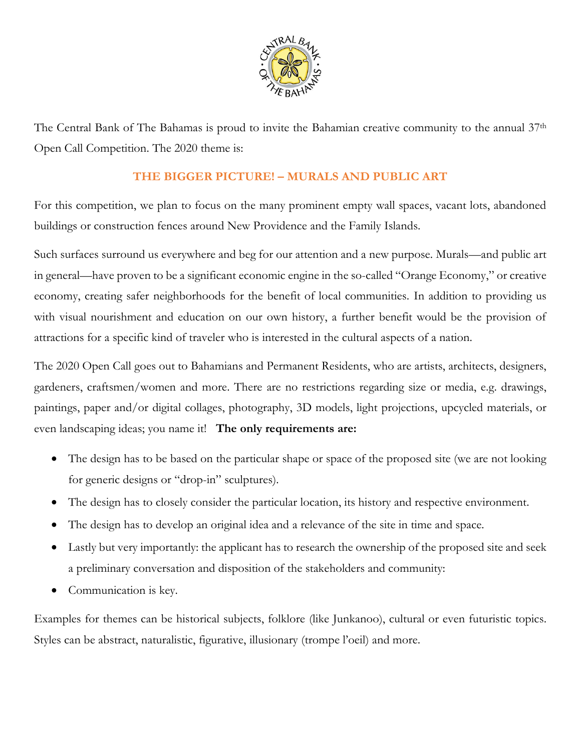

The Central Bank of The Bahamas is proud to invite the Bahamian creative community to the annual 37th Open Call Competition. The 2020 theme is:

## **THE BIGGER PICTURE! – MURALS AND PUBLIC ART**

For this competition, we plan to focus on the many prominent empty wall spaces, vacant lots, abandoned buildings or construction fences around New Providence and the Family Islands.

Such surfaces surround us everywhere and beg for our attention and a new purpose. Murals—and public art in general—have proven to be a significant economic engine in the so-called "Orange Economy," or creative economy, creating safer neighborhoods for the benefit of local communities. In addition to providing us with visual nourishment and education on our own history, a further benefit would be the provision of attractions for a specific kind of traveler who is interested in the cultural aspects of a nation.

The 2020 Open Call goes out to Bahamians and Permanent Residents, who are artists, architects, designers, gardeners, craftsmen/women and more. There are no restrictions regarding size or media, e.g. drawings, paintings, paper and/or digital collages, photography, 3D models, light projections, upcycled materials, or even landscaping ideas; you name it! **The only requirements are:**

- The design has to be based on the particular shape or space of the proposed site (we are not looking for generic designs or "drop-in" sculptures).
- The design has to closely consider the particular location, its history and respective environment.
- The design has to develop an original idea and a relevance of the site in time and space.
- Lastly but very importantly: the applicant has to research the ownership of the proposed site and seek a preliminary conversation and disposition of the stakeholders and community:
- Communication is key.

Examples for themes can be historical subjects, folklore (like Junkanoo), cultural or even futuristic topics. Styles can be abstract, naturalistic, figurative, illusionary (trompe l'oeil) and more.